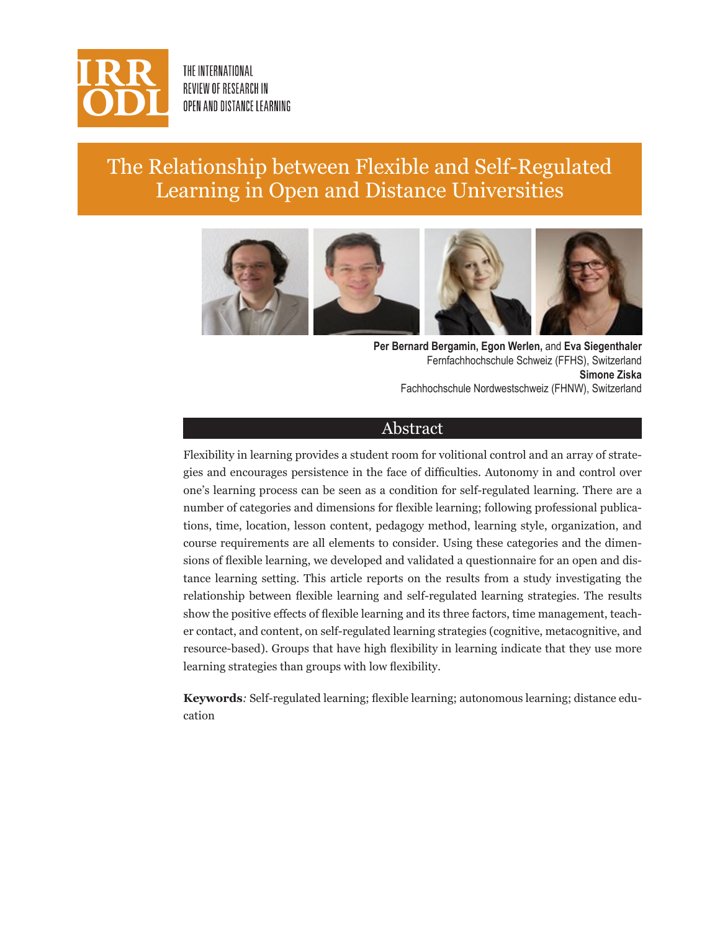

THE INTERNATIONAL REVIEW OF RESEARCH IN OPEN AND DISTANCE LEARNING

# The Relationship between Flexible and Self-Regulated Learning in Open and Distance Universities



**Per Bernard Bergamin, Egon Werlen,** and **Eva Siegenthaler** Fernfachhochschule Schweiz (FFHS), Switzerland **Simone Ziska** Fachhochschule Nordwestschweiz (FHNW), Switzerland

### Abstract

Flexibility in learning provides a student room for volitional control and an array of strategies and encourages persistence in the face of difficulties. Autonomy in and control over one's learning process can be seen as a condition for self-regulated learning. There are a number of categories and dimensions for flexible learning; following professional publications, time, location, lesson content, pedagogy method, learning style, organization, and course requirements are all elements to consider. Using these categories and the dimensions of flexible learning, we developed and validated a questionnaire for an open and distance learning setting. This article reports on the results from a study investigating the relationship between flexible learning and self-regulated learning strategies. The results show the positive effects of flexible learning and its three factors, time management, teacher contact, and content, on self-regulated learning strategies (cognitive, metacognitive, and resource-based). Groups that have high flexibility in learning indicate that they use more learning strategies than groups with low flexibility.

**Keywords***:* Self-regulated learning; flexible learning; autonomous learning; distance education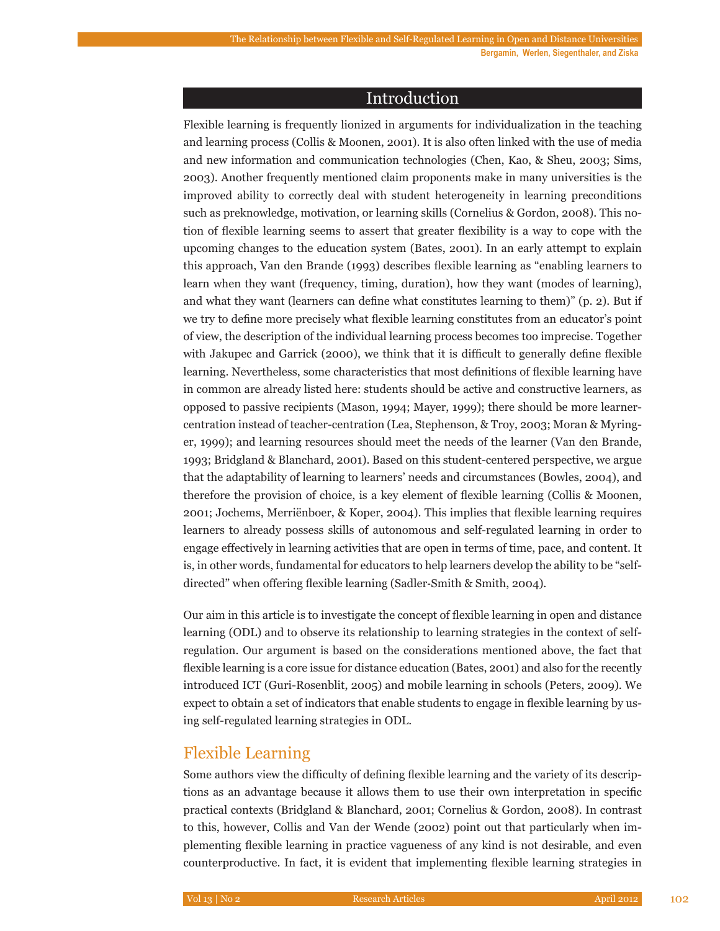## Introduction

Flexible learning is frequently lionized in arguments for individualization in the teaching and learning process (Collis & Moonen, 2001). It is also often linked with the use of media and new information and communication technologies (Chen, Kao, & Sheu, 2003; Sims, 2003). Another frequently mentioned claim proponents make in many universities is the improved ability to correctly deal with student heterogeneity in learning preconditions such as preknowledge, motivation, or learning skills (Cornelius & Gordon, 2008). This notion of flexible learning seems to assert that greater flexibility is a way to cope with the upcoming changes to the education system (Bates, 2001). In an early attempt to explain this approach, Van den Brande (1993) describes flexible learning as "enabling learners to learn when they want (frequency, timing, duration), how they want (modes of learning), and what they want (learners can define what constitutes learning to them)" (p. 2). But if we try to define more precisely what flexible learning constitutes from an educator's point of view, the description of the individual learning process becomes too imprecise. Together with Jakupec and Garrick (2000), we think that it is difficult to generally define flexible learning. Nevertheless, some characteristics that most definitions of flexible learning have in common are already listed here: students should be active and constructive learners, as opposed to passive recipients (Mason, 1994; Mayer, 1999); there should be more learnercentration instead of teacher-centration (Lea, Stephenson, & Troy, 2003; Moran & Myringer, 1999); and learning resources should meet the needs of the learner (Van den Brande, 1993; Bridgland & Blanchard, 2001). Based on this student-centered perspective, we argue that the adaptability of learning to learners' needs and circumstances (Bowles, 2004), and therefore the provision of choice, is a key element of flexible learning (Collis & Moonen, 2001; Jochems, Merriënboer, & Koper, 2004). This implies that flexible learning requires learners to already possess skills of autonomous and self-regulated learning in order to engage effectively in learning activities that are open in terms of time, pace, and content. It is, in other words, fundamental for educators to help learners develop the ability to be "selfdirected" when offering flexible learning (Sadler‐Smith & Smith, 2004).

Our aim in this article is to investigate the concept of flexible learning in open and distance learning (ODL) and to observe its relationship to learning strategies in the context of selfregulation. Our argument is based on the considerations mentioned above, the fact that flexible learning is a core issue for distance education (Bates, 2001) and also for the recently introduced ICT (Guri-Rosenblit, 2005) and mobile learning in schools (Peters, 2009). We expect to obtain a set of indicators that enable students to engage in flexible learning by using self-regulated learning strategies in ODL.

# Flexible Learning

Some authors view the difficulty of defining flexible learning and the variety of its descriptions as an advantage because it allows them to use their own interpretation in specific practical contexts (Bridgland & Blanchard, 2001; Cornelius & Gordon, 2008). In contrast to this, however, Collis and Van der Wende (2002) point out that particularly when implementing flexible learning in practice vagueness of any kind is not desirable, and even counterproductive. In fact, it is evident that implementing flexible learning strategies in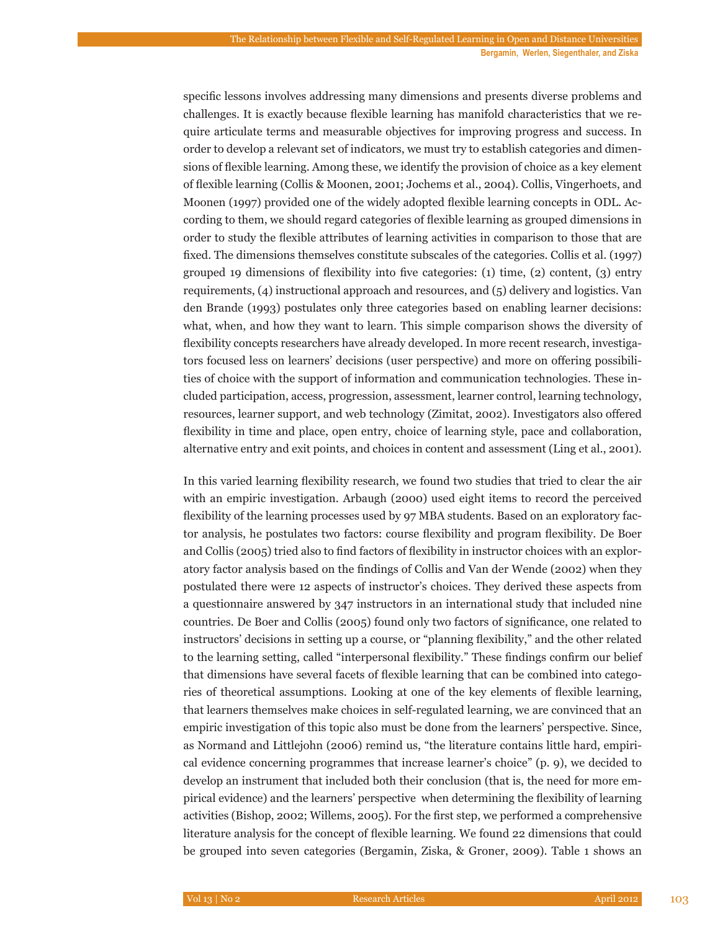**Bergamin, Werlen, Siegenthaler, and Ziska**

specific lessons involves addressing many dimensions and presents diverse problems and challenges. It is exactly because flexible learning has manifold characteristics that we require articulate terms and measurable objectives for improving progress and success. In order to develop a relevant set of indicators, we must try to establish categories and dimensions of flexible learning. Among these, we identify the provision of choice as a key element of flexible learning (Collis & Moonen, 2001; Jochems et al., 2004). Collis, Vingerhoets, and Moonen (1997) provided one of the widely adopted flexible learning concepts in ODL. According to them, we should regard categories of flexible learning as grouped dimensions in order to study the flexible attributes of learning activities in comparison to those that are fixed. The dimensions themselves constitute subscales of the categories. Collis et al. (1997) grouped 19 dimensions of flexibility into five categories: (1) time, (2) content, (3) entry requirements, (4) instructional approach and resources, and (5) delivery and logistics. Van den Brande (1993) postulates only three categories based on enabling learner decisions: what, when, and how they want to learn. This simple comparison shows the diversity of flexibility concepts researchers have already developed. In more recent research, investigators focused less on learners' decisions (user perspective) and more on offering possibilities of choice with the support of information and communication technologies. These included participation, access, progression, assessment, learner control, learning technology, resources, learner support, and web technology (Zimitat, 2002). Investigators also offered flexibility in time and place, open entry, choice of learning style, pace and collaboration, alternative entry and exit points, and choices in content and assessment (Ling et al., 2001).

In this varied learning flexibility research, we found two studies that tried to clear the air with an empiric investigation. Arbaugh (2000) used eight items to record the perceived flexibility of the learning processes used by 97 MBA students. Based on an exploratory factor analysis, he postulates two factors: course flexibility and program flexibility. De Boer and Collis (2005) tried also to find factors of flexibility in instructor choices with an exploratory factor analysis based on the findings of Collis and Van der Wende (2002) when they postulated there were 12 aspects of instructor's choices. They derived these aspects from a questionnaire answered by 347 instructors in an international study that included nine countries. De Boer and Collis (2005) found only two factors of significance, one related to instructors' decisions in setting up a course, or "planning flexibility," and the other related to the learning setting, called "interpersonal flexibility." These findings confirm our belief that dimensions have several facets of flexible learning that can be combined into categories of theoretical assumptions. Looking at one of the key elements of flexible learning, that learners themselves make choices in self-regulated learning, we are convinced that an empiric investigation of this topic also must be done from the learners' perspective. Since, as Normand and Littlejohn (2006) remind us, "the literature contains little hard, empirical evidence concerning programmes that increase learner's choice" (p. 9), we decided to develop an instrument that included both their conclusion (that is, the need for more empirical evidence) and the learners' perspective when determining the flexibility of learning activities (Bishop, 2002; Willems, 2005). For the first step, we performed a comprehensive literature analysis for the concept of flexible learning. We found 22 dimensions that could be grouped into seven categories (Bergamin, Ziska, & Groner, 2009). Table 1 shows an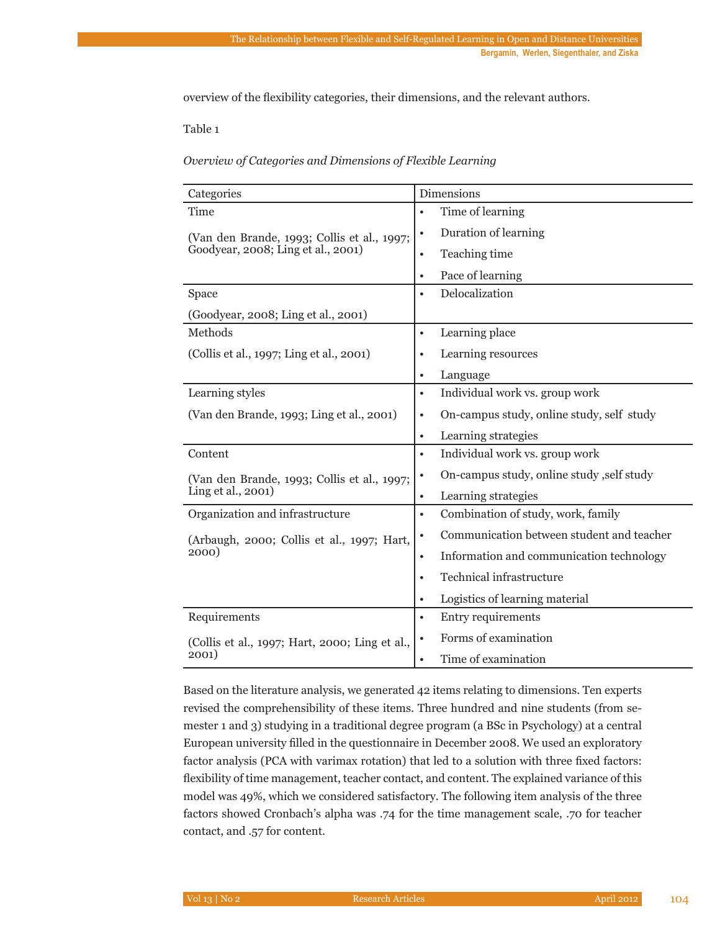overview of the flexibility categories, their dimensions, and the relevant authors.

Table 1

#### *Overview of Categories and Dimensions of Flexible Learning*

| Categories                                     | <b>Dimensions</b>                                      |  |  |
|------------------------------------------------|--------------------------------------------------------|--|--|
| Time                                           | Time of learning<br>$\bullet$                          |  |  |
| (Van den Brande, 1993; Collis et al., 1997;    | Duration of learning<br>$\bullet$                      |  |  |
| Goodyear, 2008; Ling et al., 2001)             | Teaching time<br>٠                                     |  |  |
|                                                | Pace of learning<br>$\bullet$                          |  |  |
| Space                                          | Delocalization<br>$\bullet$                            |  |  |
| (Goodyear, 2008; Ling et al., 2001)            |                                                        |  |  |
| Methods                                        | Learning place<br>$\bullet$                            |  |  |
| (Collis et al., 1997; Ling et al., 2001)       | Learning resources<br>$\bullet$                        |  |  |
|                                                | Language<br>$\bullet$                                  |  |  |
| Learning styles                                | Individual work vs. group work<br>$\bullet$            |  |  |
| (Van den Brande, 1993; Ling et al., 2001)      | On-campus study, online study, self study<br>٠         |  |  |
|                                                | Learning strategies<br>$\bullet$                       |  |  |
| Content                                        | Individual work vs. group work<br>٠                    |  |  |
| (Van den Brande, 1993; Collis et al., 1997;    | On-campus study, online study, self study<br>$\bullet$ |  |  |
| Ling et al., 2001)                             | Learning strategies<br>$\bullet$                       |  |  |
| Organization and infrastructure                | Combination of study, work, family<br>$\bullet$        |  |  |
| (Arbaugh, 2000; Collis et al., 1997; Hart,     | Communication between student and teacher<br>$\bullet$ |  |  |
| 2000)                                          | Information and communication technology<br>$\bullet$  |  |  |
|                                                | Technical infrastructure<br>$\bullet$                  |  |  |
|                                                | Logistics of learning material<br>٠                    |  |  |
| Requirements                                   | Entry requirements<br>$\bullet$                        |  |  |
| (Collis et al., 1997; Hart, 2000; Ling et al., | Forms of examination<br>$\bullet$                      |  |  |
| 2001)                                          | Time of examination<br>$\bullet$                       |  |  |

Based on the literature analysis, we generated 42 items relating to dimensions. Ten experts revised the comprehensibility of these items. Three hundred and nine students (from semester 1 and 3) studying in a traditional degree program (a BSc in Psychology) at a central European university filled in the questionnaire in December 2008. We used an exploratory factor analysis (PCA with varimax rotation) that led to a solution with three fixed factors: flexibility of time management, teacher contact, and content. The explained variance of this model was 49%, which we considered satisfactory. The following item analysis of the three factors showed Cronbach's alpha was .74 for the time management scale, .70 for teacher contact, and .57 for content.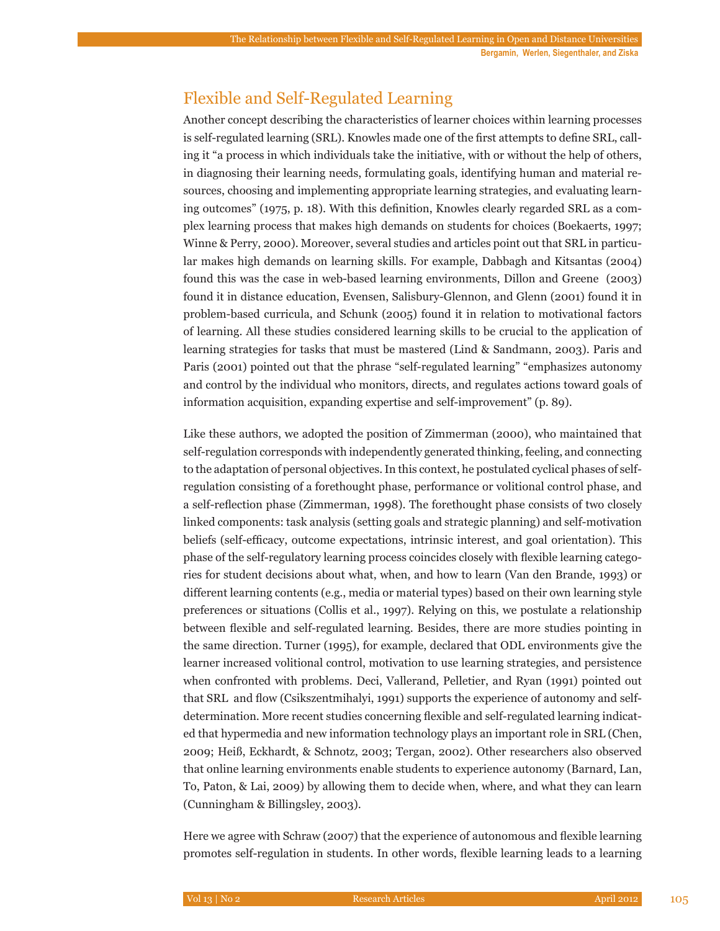# Flexible and Self-Regulated Learning

Another concept describing the characteristics of learner choices within learning processes is self-regulated learning (SRL). Knowles made one of the first attempts to define SRL, calling it "a process in which individuals take the initiative, with or without the help of others, in diagnosing their learning needs, formulating goals, identifying human and material resources, choosing and implementing appropriate learning strategies, and evaluating learning outcomes" (1975, p. 18). With this definition, Knowles clearly regarded SRL as a complex learning process that makes high demands on students for choices (Boekaerts, 1997; Winne & Perry, 2000). Moreover, several studies and articles point out that SRL in particular makes high demands on learning skills. For example, Dabbagh and Kitsantas (2004) found this was the case in web-based learning environments, Dillon and Greene (2003) found it in distance education, Evensen, Salisbury-Glennon, and Glenn (2001) found it in problem-based curricula, and Schunk (2005) found it in relation to motivational factors of learning. All these studies considered learning skills to be crucial to the application of learning strategies for tasks that must be mastered (Lind & Sandmann, 2003). Paris and Paris (2001) pointed out that the phrase "self-regulated learning" "emphasizes autonomy and control by the individual who monitors, directs, and regulates actions toward goals of information acquisition, expanding expertise and self-improvement" (p. 89).

Like these authors, we adopted the position of Zimmerman (2000), who maintained that self-regulation corresponds with independently generated thinking, feeling, and connecting to the adaptation of personal objectives. In this context, he postulated cyclical phases of selfregulation consisting of a forethought phase, performance or volitional control phase, and a self-reflection phase (Zimmerman, 1998). The forethought phase consists of two closely linked components: task analysis (setting goals and strategic planning) and self-motivation beliefs (self-efficacy, outcome expectations, intrinsic interest, and goal orientation). This phase of the self-regulatory learning process coincides closely with flexible learning categories for student decisions about what, when, and how to learn (Van den Brande, 1993) or different learning contents (e.g., media or material types) based on their own learning style preferences or situations (Collis et al., 1997). Relying on this, we postulate a relationship between flexible and self-regulated learning. Besides, there are more studies pointing in the same direction. Turner (1995), for example, declared that ODL environments give the learner increased volitional control, motivation to use learning strategies, and persistence when confronted with problems. Deci, Vallerand, Pelletier, and Ryan (1991) pointed out that SRL and flow (Csikszentmihalyi, 1991) supports the experience of autonomy and selfdetermination. More recent studies concerning flexible and self-regulated learning indicated that hypermedia and new information technology plays an important role in SRL (Chen, 2009; Heiß, Eckhardt, & Schnotz, 2003; Tergan, 2002). Other researchers also observed that online learning environments enable students to experience autonomy (Barnard, Lan, To, Paton, & Lai, 2009) by allowing them to decide when, where, and what they can learn (Cunningham & Billingsley, 2003).

Here we agree with Schraw (2007) that the experience of autonomous and flexible learning promotes self-regulation in students. In other words, flexible learning leads to a learning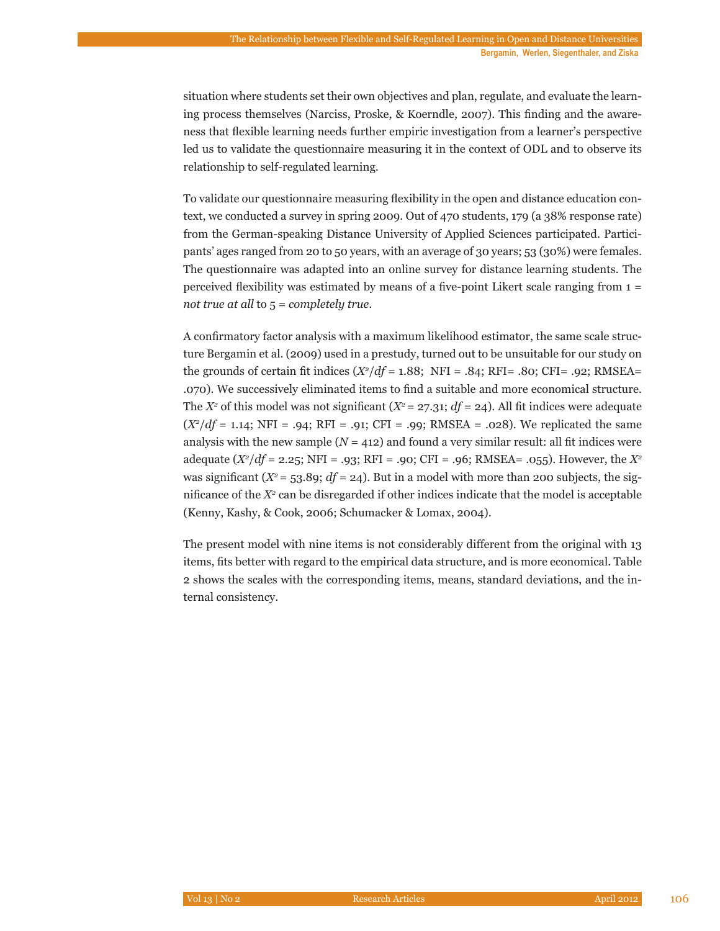situation where students set their own objectives and plan, regulate, and evaluate the learning process themselves (Narciss, Proske, & Koerndle, 2007). This finding and the awareness that flexible learning needs further empiric investigation from a learner's perspective led us to validate the questionnaire measuring it in the context of ODL and to observe its relationship to self-regulated learning.

To validate our questionnaire measuring flexibility in the open and distance education context, we conducted a survey in spring 2009. Out of 470 students, 179 (a 38% response rate) from the German-speaking Distance University of Applied Sciences participated. Participants' ages ranged from 20 to 50 years, with an average of 30 years; 53 (30%) were females. The questionnaire was adapted into an online survey for distance learning students. The perceived flexibility was estimated by means of a five-point Likert scale ranging from 1 = *not true at all* to 5 = *completely true*.

A confirmatory factor analysis with a maximum likelihood estimator, the same scale structure Bergamin et al. (2009) used in a prestudy, turned out to be unsuitable for our study on the grounds of certain fit indices  $(X^2/df = 1.88;$  NFI = .84; RFI= .80; CFI= .92; RMSEA= .070). We successively eliminated items to find a suitable and more economical structure. The  $X^2$  of this model was not significant  $(X^2 = 27.31; df = 24)$ . All fit indices were adequate (*X2* /*df* = 1.14; NFI = .94; RFI = .91; CFI = .99; RMSEA = .028). We replicated the same analysis with the new sample  $(N = 412)$  and found a very similar result: all fit indices were adequate (*X2* /*df* = 2.25; NFI = .93; RFI = .90; CFI = .96; RMSEA= .055). However, the *X2* was significant  $(X^2 = 53.89; df = 24)$ . But in a model with more than 200 subjects, the significance of the  $X^2$  can be disregarded if other indices indicate that the model is acceptable (Kenny, Kashy, & Cook, 2006; Schumacker & Lomax, 2004).

The present model with nine items is not considerably different from the original with 13 items, fits better with regard to the empirical data structure, and is more economical. Table 2 shows the scales with the corresponding items, means, standard deviations, and the internal consistency.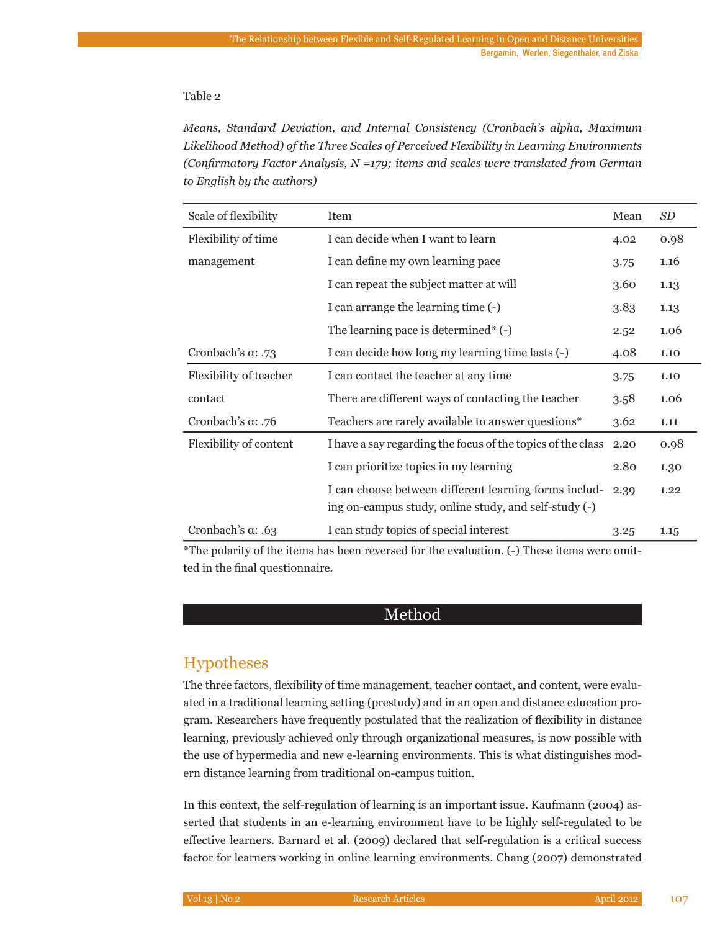#### Table 2

*Means, Standard Deviation, and Internal Consistency (Cronbach's alpha, Maximum Likelihood Method) of the Three Scales of Perceived Flexibility in Learning Environments (Confirmatory Factor Analysis, N =179; items and scales were translated from German to English by the authors)*

| Scale of flexibility      | Item                                                                                                           | Mean | <b>SD</b> |
|---------------------------|----------------------------------------------------------------------------------------------------------------|------|-----------|
| Flexibility of time       | I can decide when I want to learn<br>4.02                                                                      |      | 0.98      |
| management                | I can define my own learning pace                                                                              | 3.75 | 1.16      |
|                           | I can repeat the subject matter at will                                                                        | 3.60 | 1.13      |
|                           | I can arrange the learning time (-)                                                                            | 3.83 | 1.13      |
|                           | The learning pace is determined $*$ (-)                                                                        | 2.52 | 1.06      |
| Cronbach's $\alpha$ : .73 | I can decide how long my learning time lasts (-)                                                               | 4.08 | 1.10      |
| Flexibility of teacher    | I can contact the teacher at any time                                                                          | 3.75 | 1.10      |
| contact                   | There are different ways of contacting the teacher                                                             | 3.58 | 1.06      |
| Cronbach's a: .76         | Teachers are rarely available to answer questions*                                                             | 3.62 | 1.11      |
| Flexibility of content    | I have a say regarding the focus of the topics of the class                                                    | 2.20 | 0.98      |
|                           | I can prioritize topics in my learning                                                                         | 2.80 | 1.30      |
|                           | I can choose between different learning forms includ-<br>ing on-campus study, online study, and self-study (-) | 2.39 | 1.22      |
| Cronbach's $\alpha$ : .63 | I can study topics of special interest                                                                         | 3.25 | 1.15      |

\*The polarity of the items has been reversed for the evaluation. (-) These items were omitted in the final questionnaire.

# Method

# Hypotheses

The three factors, flexibility of time management, teacher contact, and content, were evaluated in a traditional learning setting (prestudy) and in an open and distance education program. Researchers have frequently postulated that the realization of flexibility in distance learning, previously achieved only through organizational measures, is now possible with the use of hypermedia and new e-learning environments. This is what distinguishes modern distance learning from traditional on-campus tuition.

In this context, the self-regulation of learning is an important issue. Kaufmann (2004) asserted that students in an e-learning environment have to be highly self-regulated to be effective learners. Barnard et al. (2009) declared that self-regulation is a critical success factor for learners working in online learning environments. Chang (2007) demonstrated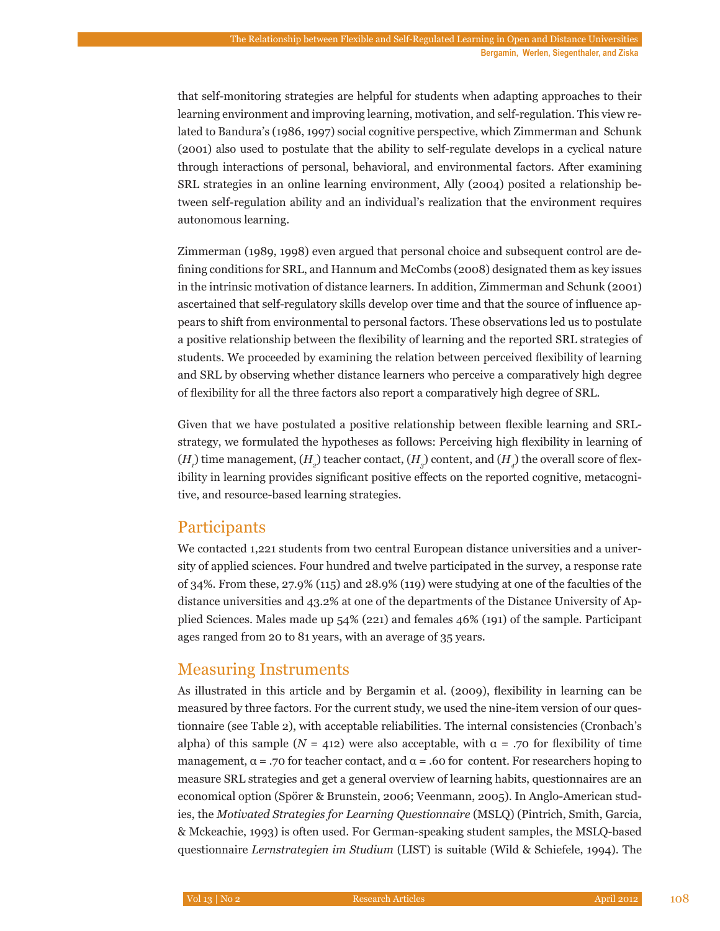that self-monitoring strategies are helpful for students when adapting approaches to their learning environment and improving learning, motivation, and self-regulation. This view related to Bandura's (1986, 1997) social cognitive perspective, which Zimmerman and Schunk (2001) also used to postulate that the ability to self-regulate develops in a cyclical nature through interactions of personal, behavioral, and environmental factors. After examining SRL strategies in an online learning environment, Ally (2004) posited a relationship between self-regulation ability and an individual's realization that the environment requires autonomous learning.

Zimmerman (1989, 1998) even argued that personal choice and subsequent control are defining conditions for SRL, and Hannum and McCombs (2008) designated them as key issues in the intrinsic motivation of distance learners. In addition, Zimmerman and Schunk (2001) ascertained that self-regulatory skills develop over time and that the source of influence appears to shift from environmental to personal factors. These observations led us to postulate a positive relationship between the flexibility of learning and the reported SRL strategies of students. We proceeded by examining the relation between perceived flexibility of learning and SRL by observing whether distance learners who perceive a comparatively high degree of flexibility for all the three factors also report a comparatively high degree of SRL.

Given that we have postulated a positive relationship between flexible learning and SRLstrategy, we formulated the hypotheses as follows: Perceiving high flexibility in learning of  $(H_{_{I}})$  time management,  $(H_{_{2}})$  teacher contact,  $(H_{_{3}})$  content, and  $(H_{_{4}})$  the overall score of flexibility in learning provides significant positive effects on the reported cognitive, metacognitive, and resource-based learning strategies.

# **Participants**

We contacted 1,221 students from two central European distance universities and a university of applied sciences. Four hundred and twelve participated in the survey, a response rate of 34%. From these, 27.9% (115) and 28.9% (119) were studying at one of the faculties of the distance universities and 43.2% at one of the departments of the Distance University of Applied Sciences. Males made up 54% (221) and females 46% (191) of the sample. Participant ages ranged from 20 to 81 years, with an average of 35 years.

# Measuring Instruments

As illustrated in this article and by Bergamin et al. (2009), flexibility in learning can be measured by three factors. For the current study, we used the nine-item version of our questionnaire (see Table 2), with acceptable reliabilities. The internal consistencies (Cronbach's alpha) of this sample ( $N = 412$ ) were also acceptable, with  $\alpha = .70$  for flexibility of time management,  $\alpha$  = .70 for teacher contact, and  $\alpha$  = .60 for content. For researchers hoping to measure SRL strategies and get a general overview of learning habits, questionnaires are an economical option (Spörer & Brunstein, 2006; Veenmann, 2005). In Anglo-American studies, the *Motivated Strategies for Learning Questionnaire* (MSLQ) (Pintrich, Smith, Garcia, & Mckeachie, 1993) is often used. For German-speaking student samples, the MSLQ-based questionnaire *Lernstrategien im Studium* (LIST) is suitable (Wild & Schiefele, 1994). The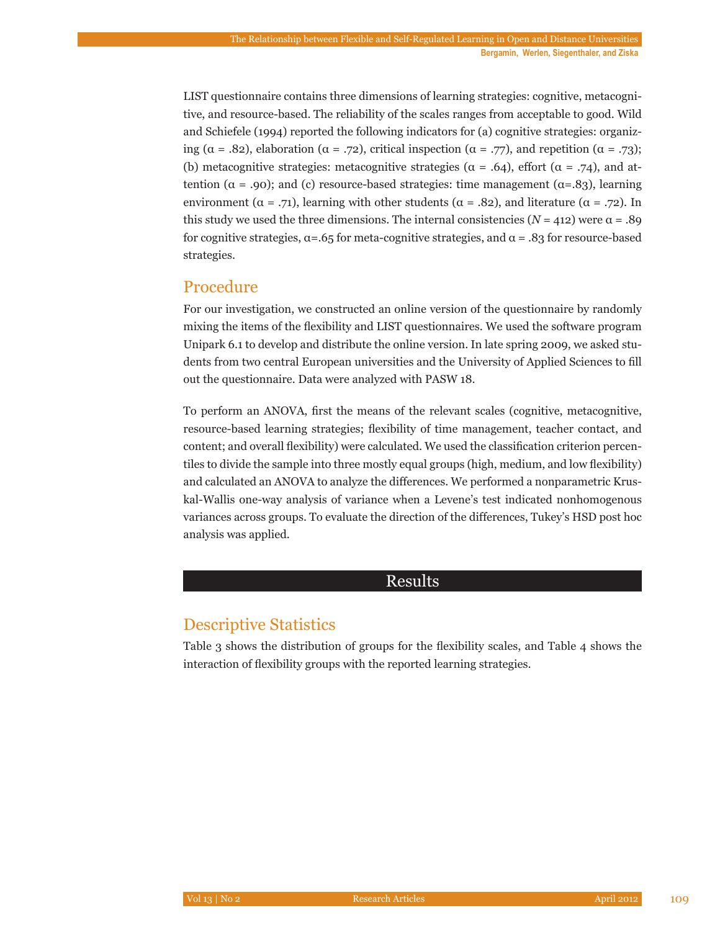LIST questionnaire contains three dimensions of learning strategies: cognitive, metacognitive, and resource-based. The reliability of the scales ranges from acceptable to good. Wild and Schiefele (1994) reported the following indicators for (a) cognitive strategies: organizing ( $\alpha = .82$ ), elaboration ( $\alpha = .72$ ), critical inspection ( $\alpha = .77$ ), and repetition ( $\alpha = .73$ ); (b) metacognitive strategies: metacognitive strategies ( $\alpha = .64$ ), effort ( $\alpha = .74$ ), and attention ( $\alpha$  = .90); and (c) resource-based strategies: time management ( $\alpha$ =.83), learning environment ( $\alpha = .71$ ), learning with other students ( $\alpha = .82$ ), and literature ( $\alpha = .72$ ). In this study we used the three dimensions. The internal consistencies  $(N = 412)$  were  $\alpha = .89$ for cognitive strategies,  $\alpha = .65$  for meta-cognitive strategies, and  $\alpha = .83$  for resource-based strategies.

# Procedure

For our investigation, we constructed an online version of the questionnaire by randomly mixing the items of the flexibility and LIST questionnaires. We used the software program Unipark 6.1 to develop and distribute the online version. In late spring 2009, we asked students from two central European universities and the University of Applied Sciences to fill out the questionnaire. Data were analyzed with PASW 18.

To perform an ANOVA, first the means of the relevant scales (cognitive, metacognitive, resource-based learning strategies; flexibility of time management, teacher contact, and content; and overall flexibility) were calculated. We used the classification criterion percentiles to divide the sample into three mostly equal groups (high, medium, and low flexibility) and calculated an ANOVA to analyze the differences. We performed a nonparametric Kruskal-Wallis one-way analysis of variance when a Levene's test indicated nonhomogenous variances across groups. To evaluate the direction of the differences, Tukey's HSD post hoc analysis was applied.

### Results

# Descriptive Statistics

Table 3 shows the distribution of groups for the flexibility scales, and Table 4 shows the interaction of flexibility groups with the reported learning strategies.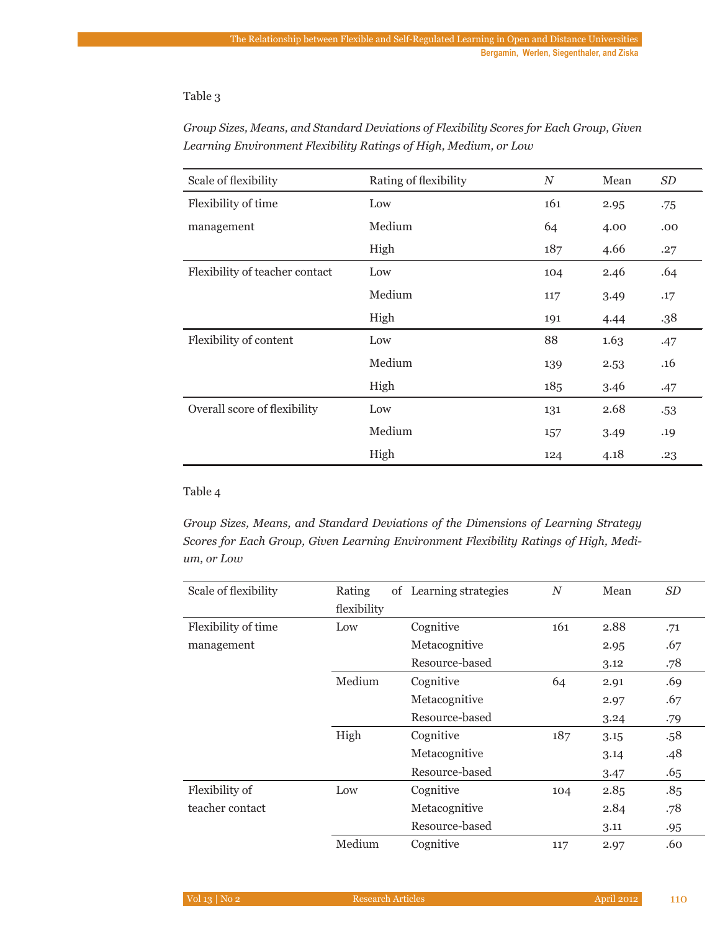#### Table 3

| Scale of flexibility           | Rating of flexibility | $\boldsymbol{N}$ | Mean | SD    |
|--------------------------------|-----------------------|------------------|------|-------|
| Flexibility of time            | Low                   | 161              | 2.95 | .75   |
| management                     | Medium                | 64               | 4.00 | .00   |
|                                | High                  | 187              | 4.66 | .27   |
| Flexibility of teacher contact | Low                   | 104              | 2.46 | .64   |
|                                | Medium                | 117              | 3.49 | .17   |
|                                | High                  | 191              | 4.44 | .38   |
| Flexibility of content         | Low                   | 88               | 1.63 | .47   |
|                                | Medium                | 139              | 2.53 | .16   |
|                                | High                  | 185              | 3.46 | .47   |
| Overall score of flexibility   | Low                   | 131              | 2.68 | $-53$ |
|                                | Medium                | 157              | 3.49 | .19   |
|                                | High                  | 124              | 4.18 | .23   |

*Group Sizes, Means, and Standard Deviations of Flexibility Scores for Each Group, Given Learning Environment Flexibility Ratings of High, Medium, or Low*

#### Table 4

*Group Sizes, Means, and Standard Deviations of the Dimensions of Learning Strategy Scores for Each Group, Given Learning Environment Flexibility Ratings of High, Medium, or Low*

| Scale of flexibility | Rating<br>flexibility | of Learning strategies | $\boldsymbol{N}$ | Mean | <i>SD</i> |
|----------------------|-----------------------|------------------------|------------------|------|-----------|
| Flexibility of time  | Low                   | Cognitive              | 161              | 2.88 | .71       |
| management           |                       | Metacognitive          |                  | 2.95 | .67       |
|                      |                       | Resource-based         |                  | 3.12 | .78       |
|                      | Medium                | Cognitive              | 64               | 2.91 | .69       |
|                      |                       | Metacognitive          |                  | 2.97 | .67       |
|                      |                       | Resource-based         |                  | 3.24 | .79       |
|                      | High                  | Cognitive              | 187              | 3.15 | .58       |
|                      |                       | Metacognitive          |                  | 3.14 | .48       |
|                      |                       | Resource-based         |                  | 3.47 | .65       |
| Flexibility of       | Low                   | Cognitive              | 104              | 2.85 | .85       |
| teacher contact      |                       | Metacognitive          |                  | 2.84 | .78       |
|                      |                       | Resource-based         |                  | 3.11 | .95       |
|                      | Medium                | Cognitive              | 117              | 2.97 | .60       |

| Vol 13   No 2 | Research Articles | April 2012 | $-110$ |
|---------------|-------------------|------------|--------|
|               |                   |            |        |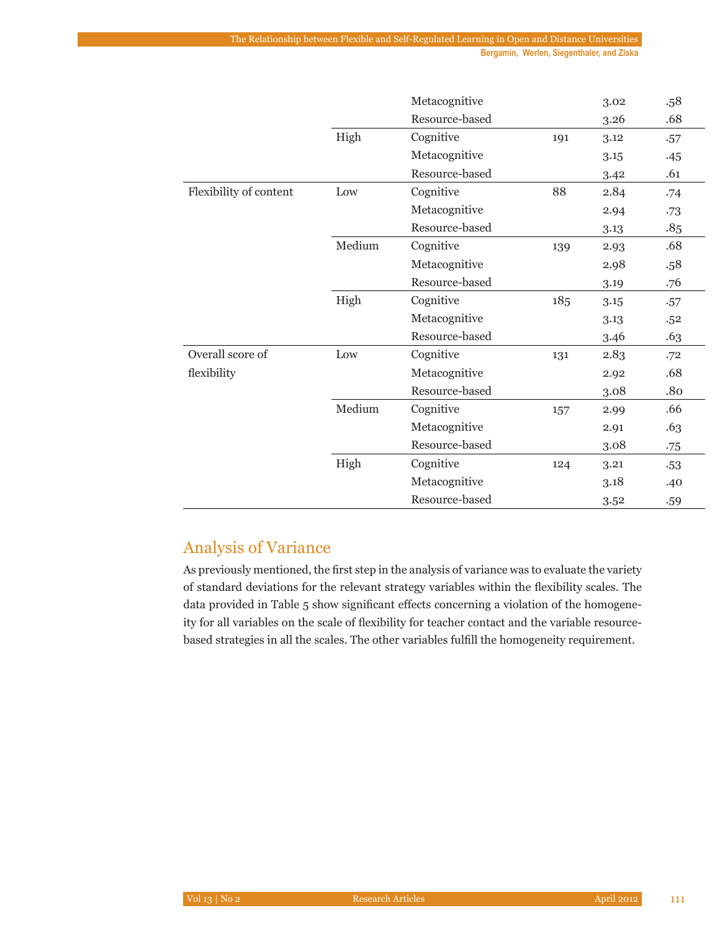**Bergamin, Werlen, Siegenthaler, and Ziska**

|                        |        | Metacognitive  |     | 3.02 | .58   |
|------------------------|--------|----------------|-----|------|-------|
|                        |        | Resource-based |     | 3.26 | .68   |
|                        | High   | Cognitive      | 191 | 3.12 | .57   |
|                        |        | Metacognitive  |     | 3.15 | .45   |
|                        |        | Resource-based |     | 3.42 | .61   |
| Flexibility of content | Low    | Cognitive      | 88  | 2.84 | .74   |
|                        |        | Metacognitive  |     | 2.94 | .73   |
|                        |        | Resource-based |     | 3.13 | .85   |
|                        | Medium | Cognitive      | 139 | 2.93 | .68   |
|                        |        | Metacognitive  |     | 2.98 | .58   |
|                        |        | Resource-based |     | 3.19 | .76   |
|                        | High   | Cognitive      | 185 | 3.15 | .57   |
|                        |        | Metacognitive  |     | 3.13 | .52   |
|                        |        | Resource-based |     | 3.46 | .63   |
| Overall score of       | Low    | Cognitive      | 131 | 2.83 | .72   |
| flexibility            |        | Metacognitive  |     | 2.92 | .68   |
|                        |        | Resource-based |     | 3.08 | .80   |
|                        | Medium | Cognitive      | 157 | 2.99 | .66   |
|                        |        | Metacognitive  |     | 2.91 | .63   |
|                        |        | Resource-based |     | 3.08 | .75   |
|                        | High   | Cognitive      | 124 | 3.21 | $-53$ |
|                        |        | Metacognitive  |     | 3.18 | .40   |
|                        |        | Resource-based |     | 3.52 | .59   |

# Analysis of Variance

As previously mentioned, the first step in the analysis of variance was to evaluate the variety of standard deviations for the relevant strategy variables within the flexibility scales. The data provided in Table 5 show significant effects concerning a violation of the homogeneity for all variables on the scale of flexibility for teacher contact and the variable resourcebased strategies in all the scales. The other variables fulfill the homogeneity requirement.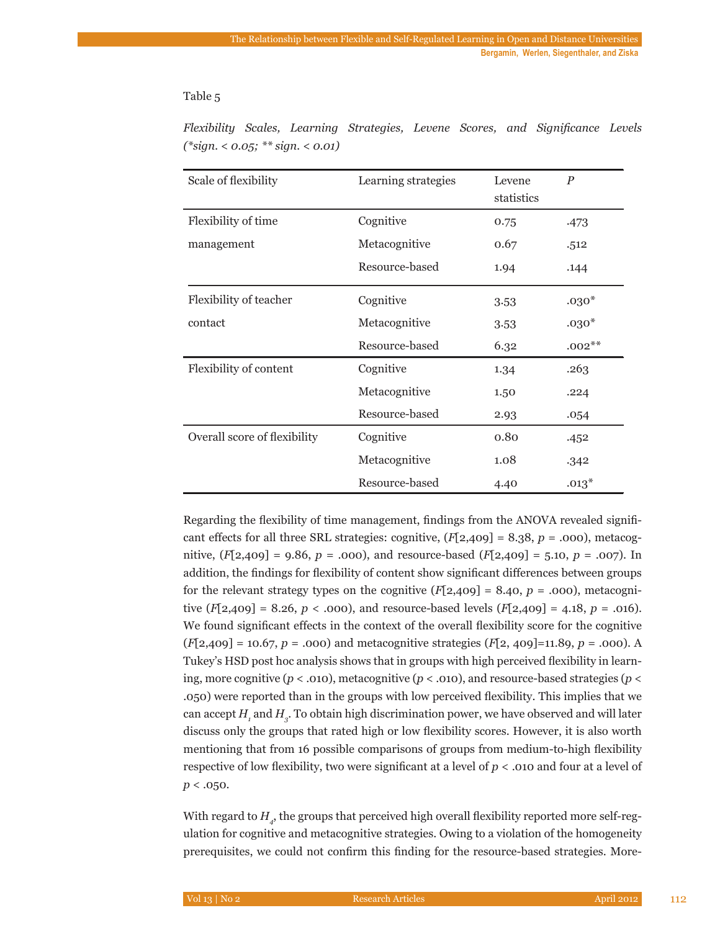#### Table 5

| Scale of flexibility         | Learning strategies | Levene<br>statistics | $\boldsymbol{P}$ |
|------------------------------|---------------------|----------------------|------------------|
| Flexibility of time          | Cognitive           | 0.75                 | .473             |
| management                   | Metacognitive       | 0.67                 | .512             |
|                              | Resource-based      | 1.94                 | .144             |
| Flexibility of teacher       | Cognitive           | 3.53                 | $.030*$          |
| contact                      | Metacognitive       | 3.53                 | $.030*$          |
|                              | Resource-based      | 6.32                 | $.002**$         |
| Flexibility of content       | Cognitive           | 1.34                 | .263             |
|                              | Metacognitive       | 1.50                 | .224             |
|                              | Resource-based      | 2.93                 | .054             |
| Overall score of flexibility | Cognitive           | 0.80                 | .452             |
|                              | Metacognitive       | 1.08                 | .342             |
|                              | Resource-based      | 4.40                 | $.013*$          |

*Flexibility Scales, Learning Strategies, Levene Scores, and Significance Levels (\*sign. < 0.05; \*\* sign. < 0.01)*

Regarding the flexibility of time management, findings from the ANOVA revealed significant effects for all three SRL strategies: cognitive,  $(F[2,409] = 8.38, p = .000)$ , metacognitive, (*F*[2,409] = 9.86, *p* = .000), and resource-based (*F*[2,409] = 5.10, *p* = .007). In addition, the findings for flexibility of content show significant differences between groups for the relevant strategy types on the cognitive  $(F[2,409] = 8.40, p = .000)$ , metacognitive  $(F[2,409] = 8.26, p < .000)$ , and resource-based levels  $(F[2,409] = 4.18, p = .016)$ . We found significant effects in the context of the overall flexibility score for the cognitive (*F*[2,409] = 10.67, *p* = .000) and metacognitive strategies (*F*[2, 409]=11.89, *p* = .000). A Tukey's HSD post hoc analysis shows that in groups with high perceived flexibility in learning, more cognitive ( $p < .010$ ), metacognitive ( $p < .010$ ), and resource-based strategies ( $p <$ .050) were reported than in the groups with low perceived flexibility. This implies that we can accept  $H_{_I}$  and  $H_{_{\mathcal{G}}}$ . To obtain high discrimination power, we have observed and will later discuss only the groups that rated high or low flexibility scores. However, it is also worth mentioning that from 16 possible comparisons of groups from medium-to-high flexibility respective of low flexibility, two were significant at a level of *p* < .010 and four at a level of  $p < .050$ .

With regard to  $H_{_{4^{\prime}}}$  the groups that perceived high overall flexibility reported more self-regulation for cognitive and metacognitive strategies. Owing to a violation of the homogeneity prerequisites, we could not confirm this finding for the resource-based strategies. More-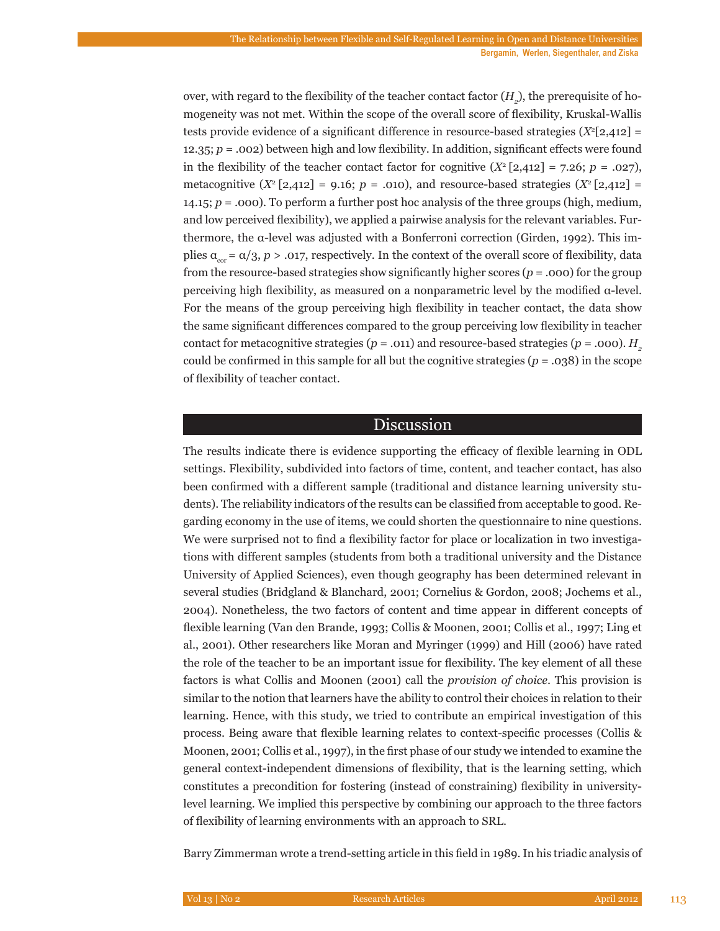over, with regard to the flexibility of the teacher contact factor  $(H_2)$ , the prerequisite of homogeneity was not met. Within the scope of the overall score of flexibility, Kruskal-Wallis tests provide evidence of a significant difference in resource-based strategies  $(X^2[2,412] =$ 12.35; *p* = .002) between high and low flexibility. In addition, significant effects were found in the flexibility of the teacher contact factor for cognitive  $(X^2[2,412] = 7.26; p = .027)$ , metacognitive  $(X^2[2,412] = 9.16; p = .010)$ , and resource-based strategies  $(X^2[2,412] =$ 14.15; *p* = .000). To perform a further post hoc analysis of the three groups (high, medium, and low perceived flexibility), we applied a pairwise analysis for the relevant variables. Furthermore, the α-level was adjusted with a Bonferroni correction (Girden, 1992). This implies  $\alpha_{\text{cor}} = \alpha/3$ ,  $p > .017$ , respectively. In the context of the overall score of flexibility, data from the resource-based strategies show significantly higher scores (*p* = .000) for the group perceiving high flexibility, as measured on a nonparametric level by the modified α-level. For the means of the group perceiving high flexibility in teacher contact, the data show the same significant differences compared to the group perceiving low flexibility in teacher contact for metacognitive strategies ( $p = .011$ ) and resource-based strategies ( $p = .000$ ).  $H<sub>2</sub>$ could be confirmed in this sample for all but the cognitive strategies  $(p = .038)$  in the scope of flexibility of teacher contact.

#### Discussion

The results indicate there is evidence supporting the efficacy of flexible learning in ODL settings. Flexibility, subdivided into factors of time, content, and teacher contact, has also been confirmed with a different sample (traditional and distance learning university students). The reliability indicators of the results can be classified from acceptable to good. Regarding economy in the use of items, we could shorten the questionnaire to nine questions. We were surprised not to find a flexibility factor for place or localization in two investigations with different samples (students from both a traditional university and the Distance University of Applied Sciences), even though geography has been determined relevant in several studies (Bridgland & Blanchard, 2001; Cornelius & Gordon, 2008; Jochems et al., 2004). Nonetheless, the two factors of content and time appear in different concepts of flexible learning (Van den Brande, 1993; Collis & Moonen, 2001; Collis et al., 1997; Ling et al., 2001). Other researchers like Moran and Myringer (1999) and Hill (2006) have rated the role of the teacher to be an important issue for flexibility. The key element of all these factors is what Collis and Moonen (2001) call the *provision of choice*. This provision is similar to the notion that learners have the ability to control their choices in relation to their learning. Hence, with this study, we tried to contribute an empirical investigation of this process. Being aware that flexible learning relates to context-specific processes (Collis & Moonen, 2001; Collis et al., 1997), in the first phase of our study we intended to examine the general context-independent dimensions of flexibility, that is the learning setting, which constitutes a precondition for fostering (instead of constraining) flexibility in universitylevel learning. We implied this perspective by combining our approach to the three factors of flexibility of learning environments with an approach to SRL.

Barry Zimmerman wrote a trend-setting article in this field in 1989. In his triadic analysis of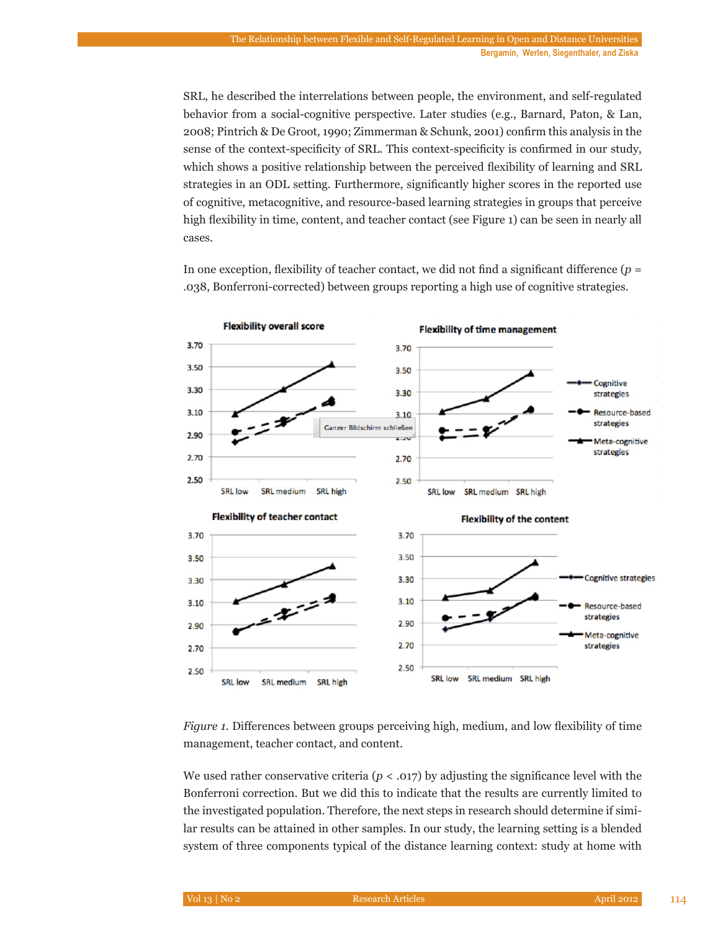SRL, he described the interrelations between people, the environment, and self-regulated behavior from a social-cognitive perspective. Later studies (e.g., Barnard, Paton, & Lan, 2008; Pintrich & De Groot, 1990; Zimmerman & Schunk, 2001) confirm this analysis in the sense of the context-specificity of SRL. This context-specificity is confirmed in our study, which shows a positive relationship between the perceived flexibility of learning and SRL strategies in an ODL setting. Furthermore, significantly higher scores in the reported use of cognitive, metacognitive, and resource-based learning strategies in groups that perceive high flexibility in time, content, and teacher contact (see Figure 1) can be seen in nearly all cases.

In one exception, flexibility of teacher contact, we did not find a significant difference  $(p =$ .038, Bonferroni-corrected) between groups reporting a high use of cognitive strategies.



*Figure 1.* Differences between groups perceiving high, medium, and low flexibility of time management, teacher contact, and content.

We used rather conservative criteria ( $p < .017$ ) by adjusting the significance level with the Bonferroni correction. But we did this to indicate that the results are currently limited to the investigated population. Therefore, the next steps in research should determine if similar results can be attained in other samples. In our study, the learning setting is a blended system of three components typical of the distance learning context: study at home with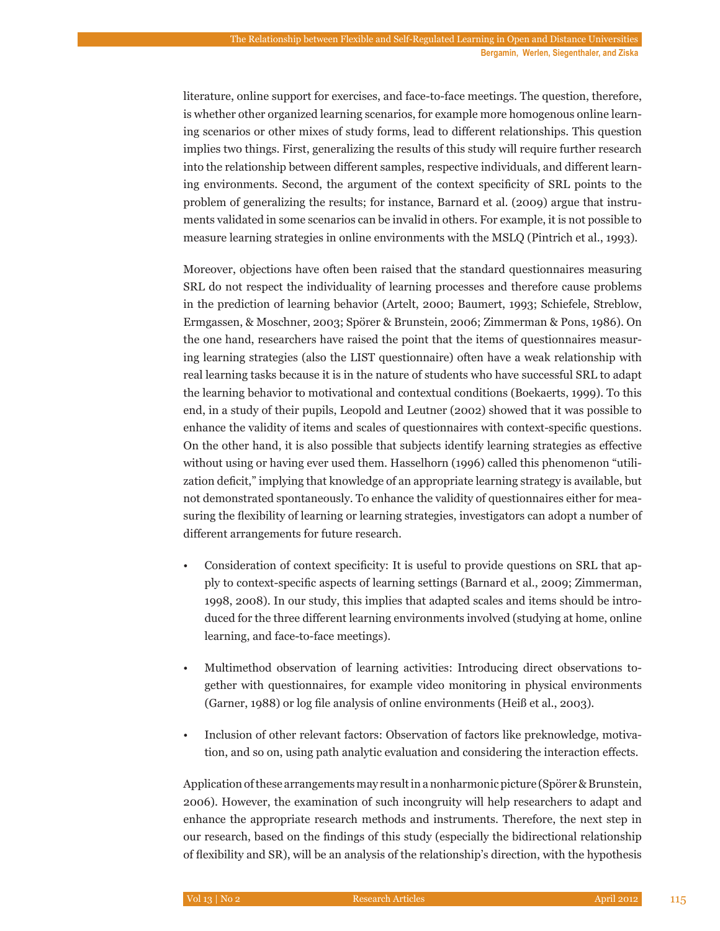literature, online support for exercises, and face-to-face meetings. The question, therefore, is whether other organized learning scenarios, for example more homogenous online learning scenarios or other mixes of study forms, lead to different relationships. This question implies two things. First, generalizing the results of this study will require further research into the relationship between different samples, respective individuals, and different learning environments. Second, the argument of the context specificity of SRL points to the problem of generalizing the results; for instance, Barnard et al. (2009) argue that instruments validated in some scenarios can be invalid in others. For example, it is not possible to measure learning strategies in online environments with the MSLQ (Pintrich et al., 1993).

Moreover, objections have often been raised that the standard questionnaires measuring SRL do not respect the individuality of learning processes and therefore cause problems in the prediction of learning behavior (Artelt, 2000; Baumert, 1993; Schiefele, Streblow, Ermgassen, & Moschner, 2003; Spörer & Brunstein, 2006; Zimmerman & Pons, 1986). On the one hand, researchers have raised the point that the items of questionnaires measuring learning strategies (also the LIST questionnaire) often have a weak relationship with real learning tasks because it is in the nature of students who have successful SRL to adapt the learning behavior to motivational and contextual conditions (Boekaerts, 1999). To this end, in a study of their pupils, Leopold and Leutner (2002) showed that it was possible to enhance the validity of items and scales of questionnaires with context-specific questions. On the other hand, it is also possible that subjects identify learning strategies as effective without using or having ever used them. Hasselhorn (1996) called this phenomenon "utilization deficit," implying that knowledge of an appropriate learning strategy is available, but not demonstrated spontaneously. To enhance the validity of questionnaires either for measuring the flexibility of learning or learning strategies, investigators can adopt a number of different arrangements for future research.

- Consideration of context specificity: It is useful to provide questions on SRL that apply to context-specific aspects of learning settings (Barnard et al., 2009; Zimmerman, 1998, 2008). In our study, this implies that adapted scales and items should be introduced for the three different learning environments involved (studying at home, online learning, and face-to-face meetings).
- Multimethod observation of learning activities: Introducing direct observations together with questionnaires, for example video monitoring in physical environments (Garner, 1988) or log file analysis of online environments (Heiß et al., 2003).
- Inclusion of other relevant factors: Observation of factors like preknowledge, motivation, and so on, using path analytic evaluation and considering the interaction effects.

Application of these arrangements may result in a nonharmonic picture (Spörer & Brunstein, 2006). However, the examination of such incongruity will help researchers to adapt and enhance the appropriate research methods and instruments. Therefore, the next step in our research, based on the findings of this study (especially the bidirectional relationship of flexibility and SR), will be an analysis of the relationship's direction, with the hypothesis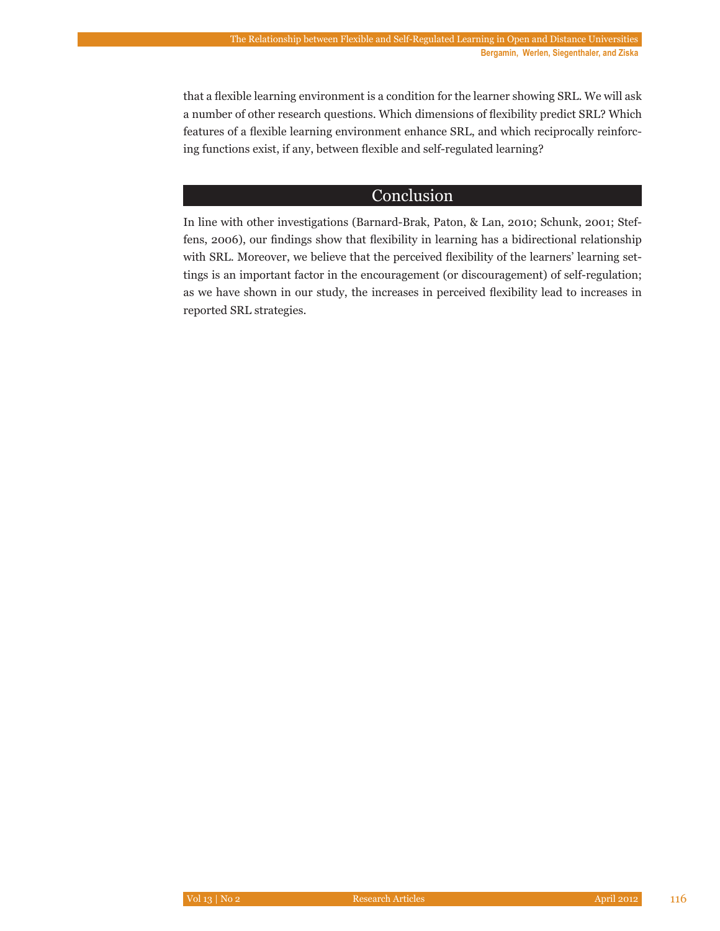that a flexible learning environment is a condition for the learner showing SRL. We will ask a number of other research questions. Which dimensions of flexibility predict SRL? Which features of a flexible learning environment enhance SRL, and which reciprocally reinforcing functions exist, if any, between flexible and self-regulated learning?

# Conclusion

In line with other investigations (Barnard-Brak, Paton, & Lan, 2010; Schunk, 2001; Steffens, 2006), our findings show that flexibility in learning has a bidirectional relationship with SRL. Moreover, we believe that the perceived flexibility of the learners' learning settings is an important factor in the encouragement (or discouragement) of self-regulation; as we have shown in our study, the increases in perceived flexibility lead to increases in reported SRL strategies.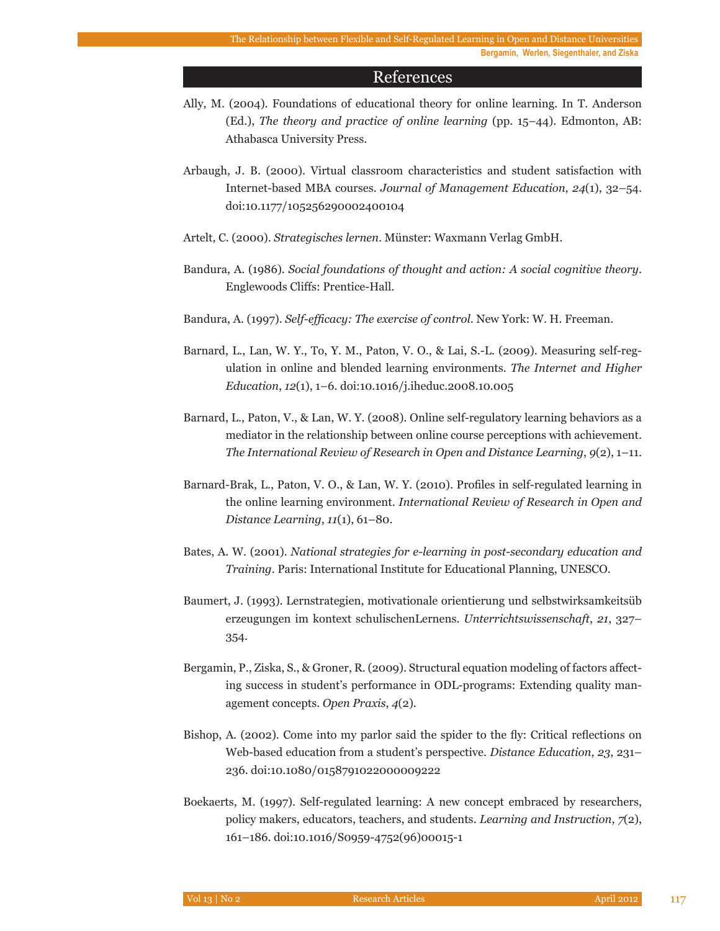#### References

- Ally, M. (2004). Foundations of educational theory for online learning. In T. Anderson (Ed.), *The theory and practice of online learning* (pp. 15–44). Edmonton, AB: Athabasca University Press.
- Arbaugh, J. B. (2000). Virtual classroom characteristics and student satisfaction with Internet-based MBA courses. *Journal of Management Education*, *24*(1), 32–54. doi:10.1177/105256290002400104
- Artelt, C. (2000). *Strategisches lernen*. Münster: Waxmann Verlag GmbH.
- Bandura, A. (1986). *Social foundations of thought and action: A social cognitive theory*. Englewoods Cliffs: Prentice-Hall.
- Bandura, A. (1997). *Self-efficacy: The exercise of control*. New York: W. H. Freeman.
- Barnard, L., Lan, W. Y., To, Y. M., Paton, V. O., & Lai, S.-L. (2009). Measuring self-regulation in online and blended learning environments. *The Internet and Higher Education*, *12*(1), 1–6. doi:10.1016/j.iheduc.2008.10.005
- Barnard, L., Paton, V., & Lan, W. Y. (2008). Online self-regulatory learning behaviors as a mediator in the relationship between online course perceptions with achievement. *The International Review of Research in Open and Distance Learning*, *9*(2), 1–11.
- Barnard-Brak, L., Paton, V. O., & Lan, W. Y. (2010). Profiles in self-regulated learning in the online learning environment. *International Review of Research in Open and Distance Learning*, *11*(1), 61–80.
- Bates, A. W. (2001). *National strategies for e-learning in post-secondary education and Training*. Paris: International Institute for Educational Planning, UNESCO.
- Baumert, J. (1993). Lernstrategien, motivationale orientierung und selbstwirksamkeitsüb erzeugungen im kontext schulischenLernens. *Unterrichtswissenschaft*, *21*, 327– 354.
- Bergamin, P., Ziska, S., & Groner, R. (2009). Structural equation modeling of factors affecting success in student's performance in ODL-programs: Extending quality management concepts. *Open Praxis*, *4*(2).
- Bishop, A. (2002). Come into my parlor said the spider to the fly: Critical reflections on Web-based education from a student's perspective. *Distance Education*, *23*, 231– 236. doi:10.1080/0158791022000009222
- Boekaerts, M. (1997). Self-regulated learning: A new concept embraced by researchers, policy makers, educators, teachers, and students. *Learning and Instruction*, *7*(2), 161–186. doi:10.1016/S0959-4752(96)00015-1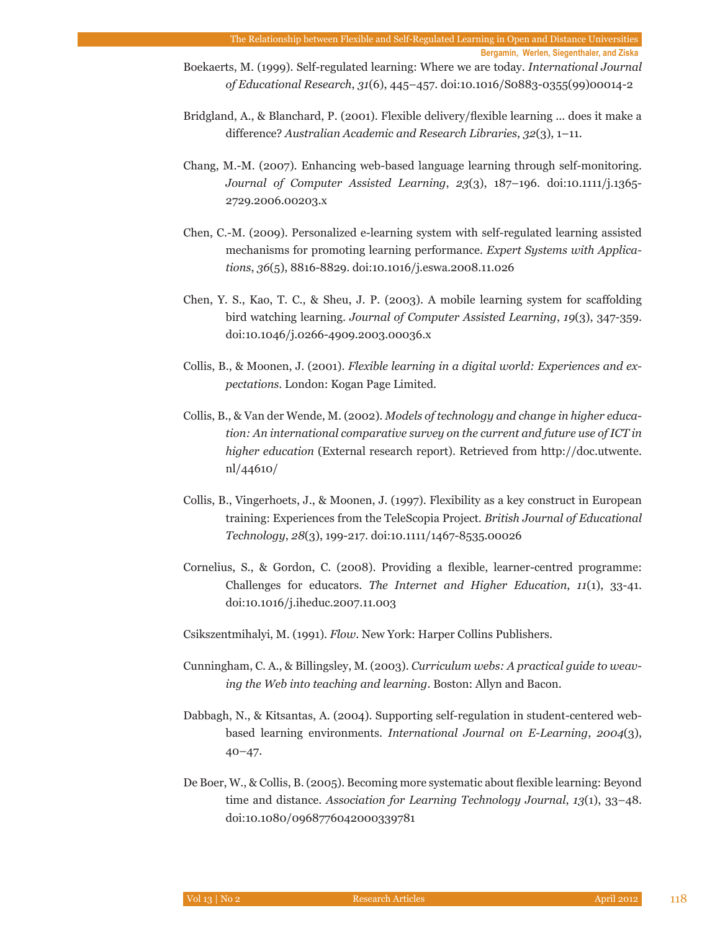**Bergamin, Werlen, Siegenthaler, and Ziska**

- Boekaerts, M. (1999). Self-regulated learning: Where we are today. *International Journal of Educational Research*, *31*(6), 445–457. doi:10.1016/S0883-0355(99)00014-2
- Bridgland, A., & Blanchard, P. (2001). Flexible delivery/flexible learning ... does it make a difference? *Australian Academic and Research Libraries*, *32*(3), 1–11.
- Chang, M.-M. (2007). Enhancing web-based language learning through self-monitoring. *Journal of Computer Assisted Learning*, *23*(3), 187–196. doi:10.1111/j.1365- 2729.2006.00203.x
- Chen, C.-M. (2009). Personalized e-learning system with self-regulated learning assisted mechanisms for promoting learning performance. *Expert Systems with Applications*, *36*(5), 8816-8829. doi:10.1016/j.eswa.2008.11.026
- Chen, Y. S., Kao, T. C., & Sheu, J. P. (2003). A mobile learning system for scaffolding bird watching learning. *Journal of Computer Assisted Learning*, *19*(3), 347-359. doi:10.1046/j.0266-4909.2003.00036.x
- Collis, B., & Moonen, J. (2001). *Flexible learning in a digital world: Experiences and expectations*. London: Kogan Page Limited.
- Collis, B., & Van der Wende, M. (2002). *Models of technology and change in higher education: An international comparative survey on the current and future use of ICT in higher education* (External research report). Retrieved from http://doc.utwente. nl/44610/
- Collis, B., Vingerhoets, J., & Moonen, J. (1997). Flexibility as a key construct in European training: Experiences from the TeleScopia Project. *British Journal of Educational Technology*, *28*(3), 199-217. doi:10.1111/1467-8535.00026
- Cornelius, S., & Gordon, C. (2008). Providing a flexible, learner-centred programme: Challenges for educators. *The Internet and Higher Education*, *11*(1), 33-41. doi:10.1016/j.iheduc.2007.11.003
- Csikszentmihalyi, M. (1991). *Flow*. New York: Harper Collins Publishers.
- Cunningham, C. A., & Billingsley, M. (2003). *Curriculum webs: A practical guide to weaving the Web into teaching and learning*. Boston: Allyn and Bacon.
- Dabbagh, N., & Kitsantas, A. (2004). Supporting self-regulation in student-centered webbased learning environments. *International Journal on E-Learning*, *2004*(3),  $40 - 47.$
- De Boer, W., & Collis, B. (2005). Becoming more systematic about flexible learning: Beyond time and distance. *Association for Learning Technology Journal*, *13*(1), 33–48. doi:10.1080/0968776042000339781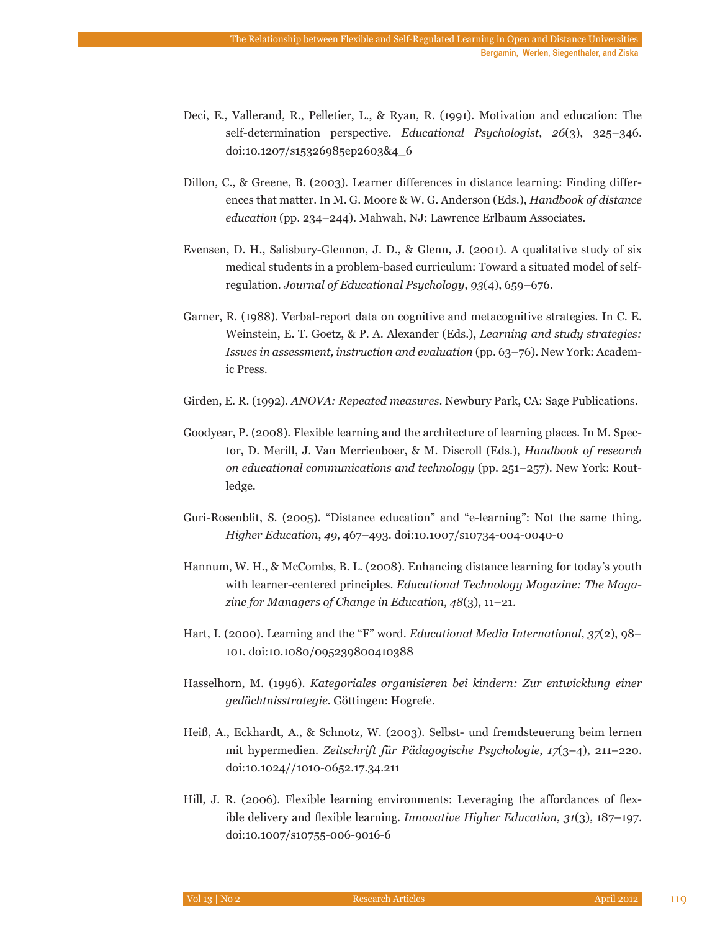- Deci, E., Vallerand, R., Pelletier, L., & Ryan, R. (1991). Motivation and education: The self-determination perspective. *Educational Psychologist*, *26*(3), 325–346. doi:10.1207/s15326985ep2603&4\_6
- Dillon, C., & Greene, B. (2003). Learner differences in distance learning: Finding differences that matter. In M. G. Moore & W. G. Anderson (Eds.), *Handbook of distance education* (pp. 234–244). Mahwah, NJ: Lawrence Erlbaum Associates.
- Evensen, D. H., Salisbury-Glennon, J. D., & Glenn, J. (2001). A qualitative study of six medical students in a problem-based curriculum: Toward a situated model of selfregulation. *Journal of Educational Psychology*, *93*(4), 659–676.
- Garner, R. (1988). Verbal-report data on cognitive and metacognitive strategies. In C. E. Weinstein, E. T. Goetz, & P. A. Alexander (Eds.), *Learning and study strategies: Issues in assessment, instruction and evaluation* (pp. 63–76). New York: Academic Press.
- Girden, E. R. (1992). *ANOVA: Repeated measures*. Newbury Park, CA: Sage Publications.
- Goodyear, P. (2008). Flexible learning and the architecture of learning places. In M. Spector, D. Merill, J. Van Merrienboer, & M. Discroll (Eds.), *Handbook of research on educational communications and technology* (pp. 251–257). New York: Routledge.
- Guri-Rosenblit, S. (2005). "Distance education" and "e-learning": Not the same thing. *Higher Education*, *49*, 467–493. doi:10.1007/s10734-004-0040-0
- Hannum, W. H., & McCombs, B. L. (2008). Enhancing distance learning for today's youth with learner-centered principles. *Educational Technology Magazine: The Magazine for Managers of Change in Education*, *48*(3), 11–21.
- Hart, I. (2000). Learning and the "F" word. *Educational Media International*, *37*(2), 98– 101. doi:10.1080/095239800410388
- Hasselhorn, M. (1996). *Kategoriales organisieren bei kindern: Zur entwicklung einer gedächtnisstrategie.* Göttingen: Hogrefe.
- Heiß, A., Eckhardt, A., & Schnotz, W. (2003). Selbst- und fremdsteuerung beim lernen mit hypermedien. *Zeitschrift für Pädagogische Psychologie*, *17*(3–4), 211–220. doi:10.1024//1010-0652.17.34.211
- Hill, J. R. (2006). Flexible learning environments: Leveraging the affordances of flexible delivery and flexible learning. *Innovative Higher Education*, *31*(3), 187–197. doi:10.1007/s10755-006-9016-6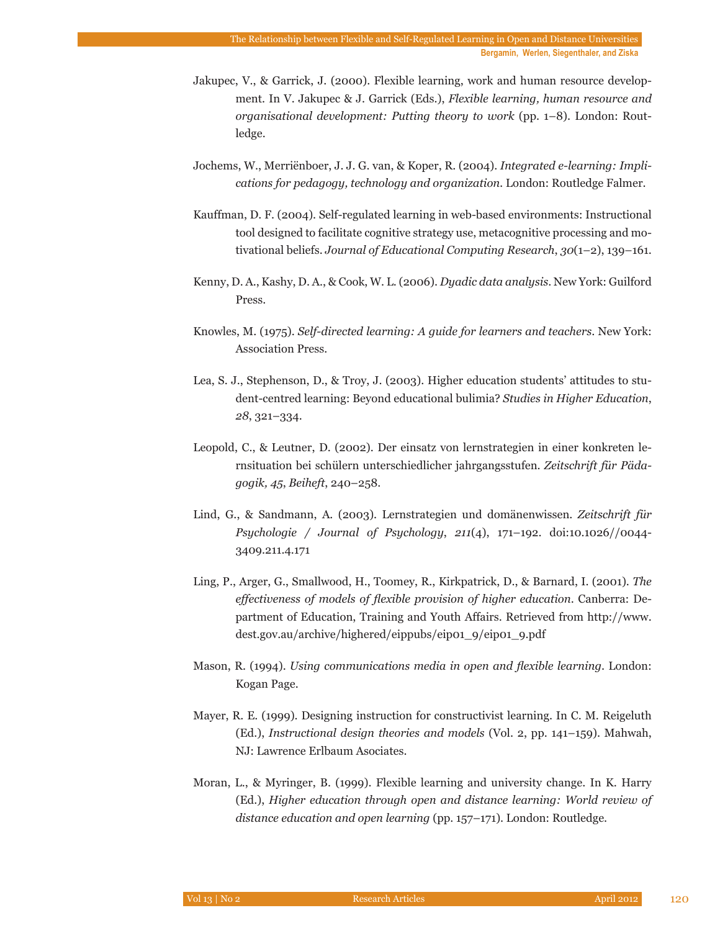- Jakupec, V., & Garrick, J. (2000). Flexible learning, work and human resource development. In V. Jakupec & J. Garrick (Eds.), *Flexible learning, human resource and organisational development: Putting theory to work* (pp. 1–8). London: Routledge.
- Jochems, W., Merriënboer, J. J. G. van, & Koper, R. (2004). *Integrated e-learning: Implications for pedagogy, technology and organization.* London: Routledge Falmer.
- Kauffman, D. F. (2004). Self-regulated learning in web-based environments: Instructional tool designed to facilitate cognitive strategy use, metacognitive processing and motivational beliefs. *Journal of Educational Computing Research*, *30*(1–2), 139–161.
- Kenny, D. A., Kashy, D. A., & Cook, W. L. (2006). *Dyadic data analysis*. New York: Guilford Press.
- Knowles, M. (1975). *Self-directed learning: A guide for learners and teachers*. New York: Association Press.
- Lea, S. J., Stephenson, D., & Troy, J. (2003). Higher education students' attitudes to student-centred learning: Beyond educational bulimia? *Studies in Higher Education*, *28*, 321–334.
- Leopold, C., & Leutner, D. (2002). Der einsatz von lernstrategien in einer konkreten lernsituation bei schülern unterschiedlicher jahrgangsstufen. *Zeitschrift für Pädagogik, 45*, *Beiheft*, 240–258.
- Lind, G., & Sandmann, A. (2003). Lernstrategien und domänenwissen. *Zeitschrift für Psychologie / Journal of Psychology*, *211*(4), 171–192. doi:10.1026//0044- 3409.211.4.171
- Ling, P., Arger, G., Smallwood, H., Toomey, R., Kirkpatrick, D., & Barnard, I. (2001). *The effectiveness of models of flexible provision of higher education*. Canberra: Department of Education, Training and Youth Affairs. Retrieved from http://www. dest.gov.au/archive/highered/eippubs/eip01\_9/eip01\_9.pdf
- Mason, R. (1994). *Using communications media in open and flexible learning*. London: Kogan Page.
- Mayer, R. E. (1999). Designing instruction for constructivist learning. In C. M. Reigeluth (Ed.), *Instructional design theories and models* (Vol. 2, pp. 141–159). Mahwah, NJ: Lawrence Erlbaum Asociates.
- Moran, L., & Myringer, B. (1999). Flexible learning and university change. In K. Harry (Ed.), *Higher education through open and distance learning: World review of distance education and open learning* (pp. 157–171). London: Routledge.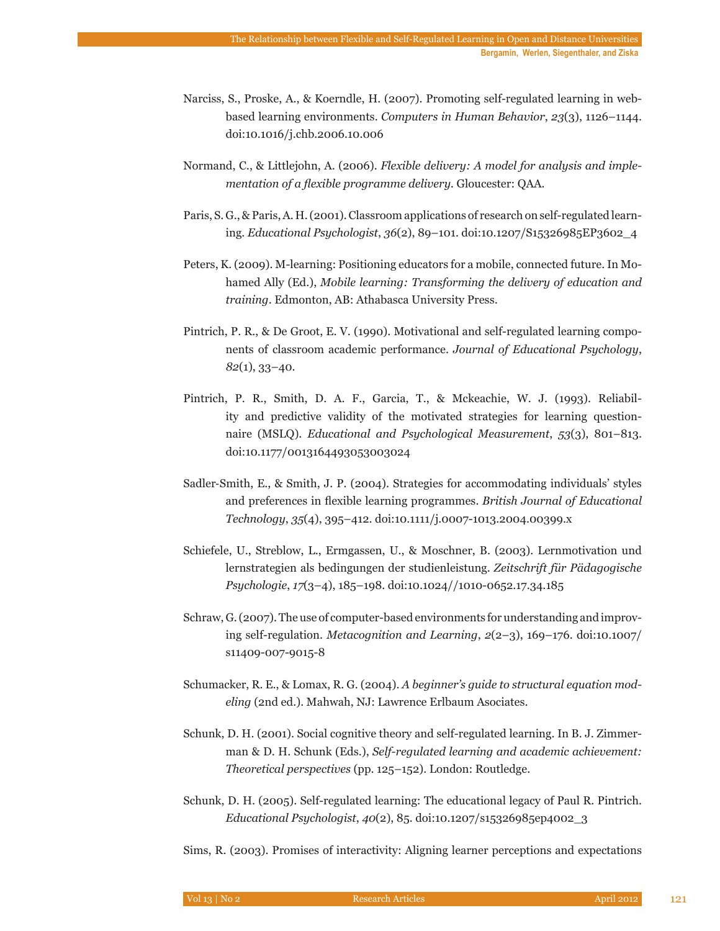- Narciss, S., Proske, A., & Koerndle, H. (2007). Promoting self-regulated learning in webbased learning environments. *Computers in Human Behavior*, *23*(3), 1126–1144. doi:10.1016/j.chb.2006.10.006
- Normand, C., & Littlejohn, A. (2006). *Flexible delivery: A model for analysis and implementation of a flexible programme delivery.* Gloucester: QAA.
- Paris, S. G., & Paris, A. H. (2001). Classroom applications of research on self-regulated learning. *Educational Psychologist*, *36*(2), 89–101. doi:10.1207/S15326985EP3602\_4
- Peters, K. (2009). M-learning: Positioning educators for a mobile, connected future. In Mohamed Ally (Ed.), *Mobile learning: Transforming the delivery of education and training*. Edmonton, AB: Athabasca University Press.
- Pintrich, P. R., & De Groot, E. V. (1990). Motivational and self-regulated learning components of classroom academic performance. *Journal of Educational Psychology*, *82*(1), 33–40.
- Pintrich, P. R., Smith, D. A. F., Garcia, T., & Mckeachie, W. J. (1993). Reliability and predictive validity of the motivated strategies for learning questionnaire (MSLQ). *Educational and Psychological Measurement*, *53*(3), 801–813. doi:10.1177/0013164493053003024
- Sadler‐Smith, E., & Smith, J. P. (2004). Strategies for accommodating individuals' styles and preferences in flexible learning programmes. *British Journal of Educational Technology*, *35*(4), 395–412. doi:10.1111/j.0007-1013.2004.00399.x
- Schiefele, U., Streblow, L., Ermgassen, U., & Moschner, B. (2003). Lernmotivation und lernstrategien als bedingungen der studienleistung. *Zeitschrift für Pädagogische Psychologie*, *17*(3–4), 185–198. doi:10.1024//1010-0652.17.34.185
- Schraw, G. (2007). The use of computer-based environments for understanding and improving self-regulation. *Metacognition and Learning*, *2*(2–3), 169–176. doi:10.1007/ s11409-007-9015-8
- Schumacker, R. E., & Lomax, R. G. (2004). *A beginner's guide to structural equation modeling* (2nd ed.). Mahwah, NJ: Lawrence Erlbaum Asociates.
- Schunk, D. H. (2001). Social cognitive theory and self-regulated learning. In B. J. Zimmerman & D. H. Schunk (Eds.), *Self-regulated learning and academic achievement: Theoretical perspectives* (pp. 125–152). London: Routledge.
- Schunk, D. H. (2005). Self-regulated learning: The educational legacy of Paul R. Pintrich. *Educational Psychologist*, *40*(2), 85. doi:10.1207/s15326985ep4002\_3

Sims, R. (2003). Promises of interactivity: Aligning learner perceptions and expectations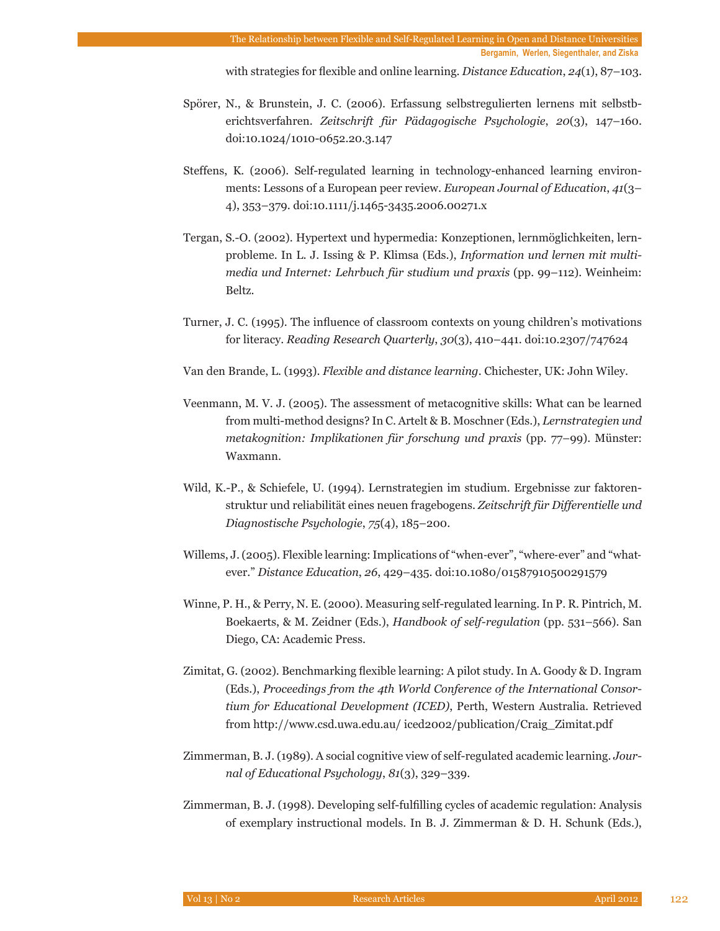with strategies for flexible and online learning. *Distance Education*, *24*(1), 87–103.

- Spörer, N., & Brunstein, J. C. (2006). Erfassung selbstregulierten lernens mit selbstberichtsverfahren. *Zeitschrift für Pädagogische Psychologie*, *20*(3), 147–160. doi:10.1024/1010-0652.20.3.147
- Steffens, K. (2006). Self-regulated learning in technology-enhanced learning environments: Lessons of a European peer review. *European Journal of Education*, *41*(3– 4), 353–379. doi:10.1111/j.1465-3435.2006.00271.x
- Tergan, S.-O. (2002). Hypertext und hypermedia: Konzeptionen, lernmöglichkeiten, lernprobleme. In L. J. Issing & P. Klimsa (Eds.), *Information und lernen mit multimedia und Internet: Lehrbuch für studium und praxis* (pp. 99–112). Weinheim: Beltz.
- Turner, J. C. (1995). The influence of classroom contexts on young children's motivations for literacy. *Reading Research Quarterly*, *30*(3), 410–441. doi:10.2307/747624
- Van den Brande, L. (1993). *Flexible and distance learning*. Chichester, UK: John Wiley.
- Veenmann, M. V. J. (2005). The assessment of metacognitive skills: What can be learned from multi-method designs? In C. Artelt & B. Moschner (Eds.), *Lernstrategien und metakognition: Implikationen für forschung und praxis* (pp. 77–99). Münster: Waxmann.
- Wild, K.-P., & Schiefele, U. (1994). Lernstrategien im studium. Ergebnisse zur faktorenstruktur und reliabilität eines neuen fragebogens. *Zeitschrift für Differentielle und Diagnostische Psychologie*, *75*(4), 185–200.
- Willems, J. (2005). Flexible learning: Implications of "when-ever", "where-ever" and "whatever." *Distance Education*, *26*, 429–435. doi:10.1080/01587910500291579
- Winne, P. H., & Perry, N. E. (2000). Measuring self-regulated learning. In P. R. Pintrich, M. Boekaerts, & M. Zeidner (Eds.), *Handbook of self-regulation* (pp. 531–566). San Diego, CA: Academic Press.
- Zimitat, G. (2002). Benchmarking flexible learning: A pilot study. In A. Goody & D. Ingram (Eds.), *Proceedings from the 4th World Conference of the International Consortium for Educational Development (ICED)*, Perth, Western Australia. Retrieved from http://www.csd.uwa.edu.au/ iced2002/publication/Craig\_Zimitat.pdf
- Zimmerman, B. J. (1989). A social cognitive view of self-regulated academic learning. *Journal of Educational Psychology*, *81*(3), 329–339.
- Zimmerman, B. J. (1998). Developing self-fulfilling cycles of academic regulation: Analysis of exemplary instructional models. In B. J. Zimmerman & D. H. Schunk (Eds.),